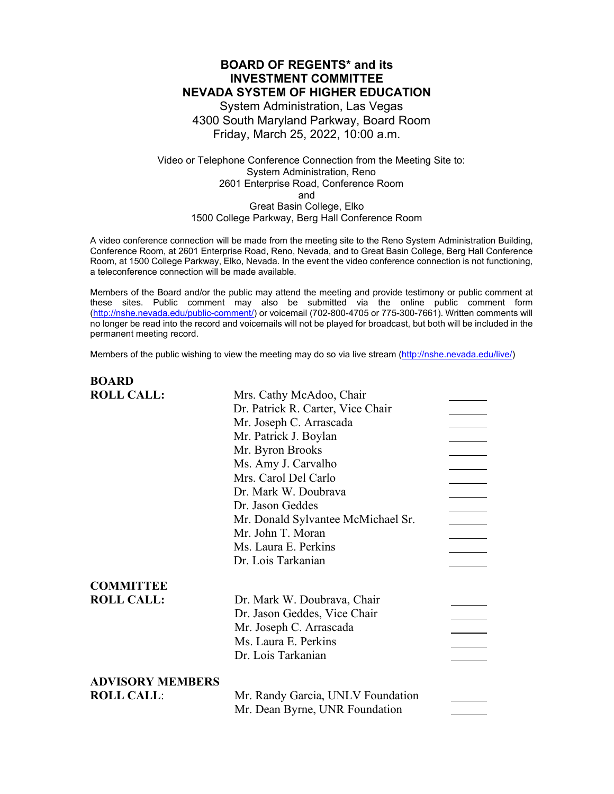# **BOARD OF REGENTS\* and its INVESTMENT COMMITTEE NEVADA SYSTEM OF HIGHER EDUCATION** System Administration, Las Vegas 4300 South Maryland Parkway, Board Room Friday, March 25, 2022, 10:00 a.m.

### Video or Telephone Conference Connection from the Meeting Site to: System Administration, Reno 2601 Enterprise Road, Conference Room and Great Basin College, Elko 1500 College Parkway, Berg Hall Conference Room

A video conference connection will be made from the meeting site to the Reno System Administration Building, Conference Room, at 2601 Enterprise Road, Reno, Nevada, and to Great Basin College, Berg Hall Conference Room, at 1500 College Parkway, Elko, Nevada. In the event the video conference connection is not functioning, a teleconference connection will be made available.

Members of the Board and/or the public may attend the meeting and provide testimony or public comment at these sites. Public comment may also be submitted via the online public comment form [\(http://nshe.nevada.edu/public-comment/\)](http://nshe.nevada.edu/public-comment/) or voicemail (702-800-4705 or 775-300-7661). Written comments will no longer be read into the record and voicemails will not be played for broadcast, but both will be included in the permanent meeting record.

Members of the public wishing to view the meeting may do so via live stream [\(http://nshe.nevada.edu/live/\)](http://nshe.nevada.edu/live/)

**BOARD**

| DVAIW                   |                                    |  |
|-------------------------|------------------------------------|--|
| <b>ROLL CALL:</b>       | Mrs. Cathy McAdoo, Chair           |  |
|                         | Dr. Patrick R. Carter, Vice Chair  |  |
|                         | Mr. Joseph C. Arrascada            |  |
|                         | Mr. Patrick J. Boylan              |  |
|                         | Mr. Byron Brooks                   |  |
|                         | Ms. Amy J. Carvalho                |  |
|                         | Mrs. Carol Del Carlo               |  |
|                         | Dr. Mark W. Doubrava               |  |
|                         | Dr. Jason Geddes                   |  |
|                         | Mr. Donald Sylvantee McMichael Sr. |  |
|                         | Mr. John T. Moran                  |  |
|                         | Ms. Laura E. Perkins               |  |
|                         | Dr. Lois Tarkanian                 |  |
| <b>COMMITTEE</b>        |                                    |  |
| <b>ROLL CALL:</b>       | Dr. Mark W. Doubrava, Chair        |  |
|                         | Dr. Jason Geddes, Vice Chair       |  |
|                         | Mr. Joseph C. Arrascada            |  |
|                         | Ms. Laura E. Perkins               |  |
|                         | Dr. Lois Tarkanian                 |  |
| <b>ADVISORY MEMBERS</b> |                                    |  |
| <b>ROLL CALL:</b>       | Mr. Randy Garcia, UNLV Foundation  |  |
|                         | Mr. Dean Byrne, UNR Foundation     |  |
|                         |                                    |  |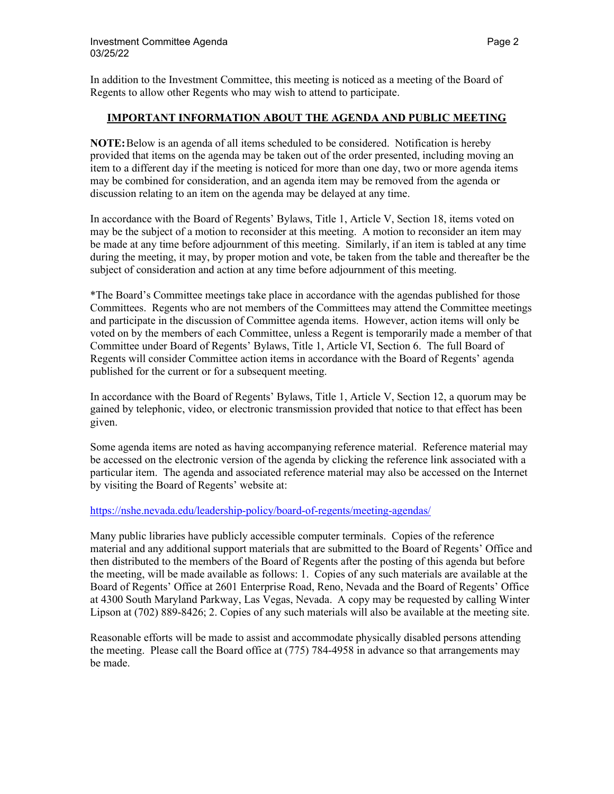In addition to the Investment Committee, this meeting is noticed as a meeting of the Board of Regents to allow other Regents who may wish to attend to participate.

### **IMPORTANT INFORMATION ABOUT THE AGENDA AND PUBLIC MEETING**

**NOTE:**Below is an agenda of all items scheduled to be considered. Notification is hereby provided that items on the agenda may be taken out of the order presented, including moving an item to a different day if the meeting is noticed for more than one day, two or more agenda items may be combined for consideration, and an agenda item may be removed from the agenda or discussion relating to an item on the agenda may be delayed at any time.

In accordance with the Board of Regents' Bylaws, Title 1, Article V, Section 18, items voted on may be the subject of a motion to reconsider at this meeting. A motion to reconsider an item may be made at any time before adjournment of this meeting. Similarly, if an item is tabled at any time during the meeting, it may, by proper motion and vote, be taken from the table and thereafter be the subject of consideration and action at any time before adjournment of this meeting.

\*The Board's Committee meetings take place in accordance with the agendas published for those Committees. Regents who are not members of the Committees may attend the Committee meetings and participate in the discussion of Committee agenda items. However, action items will only be voted on by the members of each Committee, unless a Regent is temporarily made a member of that Committee under Board of Regents' Bylaws, Title 1, Article VI, Section 6. The full Board of Regents will consider Committee action items in accordance with the Board of Regents' agenda published for the current or for a subsequent meeting.

In accordance with the Board of Regents' Bylaws, Title 1, Article V, Section 12, a quorum may be gained by telephonic, video, or electronic transmission provided that notice to that effect has been given.

Some agenda items are noted as having accompanying reference material. Reference material may be accessed on the electronic version of the agenda by clicking the reference link associated with a particular item. The agenda and associated reference material may also be accessed on the Internet by visiting the Board of Regents' website at:

### <https://nshe.nevada.edu/leadership-policy/board-of-regents/meeting-agendas/>

Many public libraries have publicly accessible computer terminals. Copies of the reference material and any additional support materials that are submitted to the Board of Regents' Office and then distributed to the members of the Board of Regents after the posting of this agenda but before the meeting, will be made available as follows: 1. Copies of any such materials are available at the Board of Regents' Office at 2601 Enterprise Road, Reno, Nevada and the Board of Regents' Office at 4300 South Maryland Parkway, Las Vegas, Nevada. A copy may be requested by calling Winter Lipson at (702) 889-8426; 2. Copies of any such materials will also be available at the meeting site.

Reasonable efforts will be made to assist and accommodate physically disabled persons attending the meeting. Please call the Board office at (775) 784-4958 in advance so that arrangements may be made.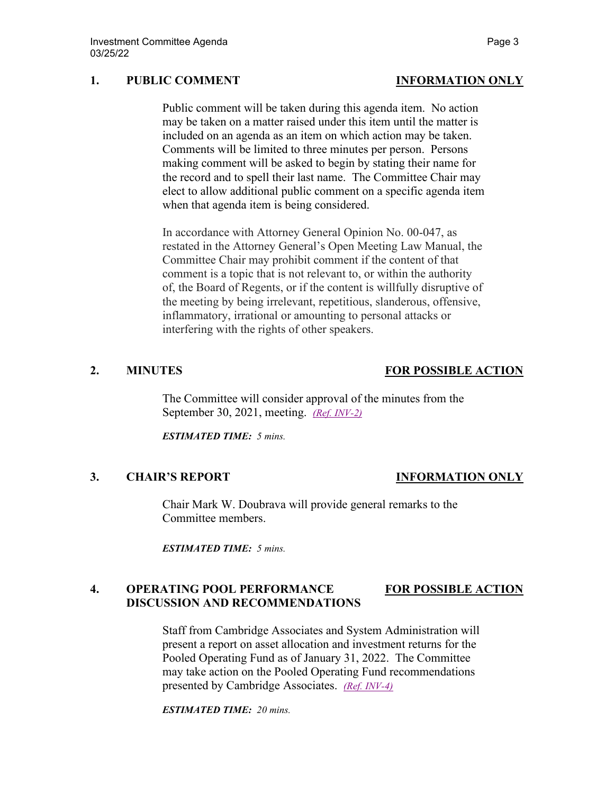## **1. PUBLIC COMMENT INFORMATION ONLY**

Public comment will be taken during this agenda item. No action may be taken on a matter raised under this item until the matter is included on an agenda as an item on which action may be taken. Comments will be limited to three minutes per person. Persons making comment will be asked to begin by stating their name for the record and to spell their last name. The Committee Chair may elect to allow additional public comment on a specific agenda item when that agenda item is being considered.

In accordance with Attorney General Opinion No. 00-047, as restated in the Attorney General's Open Meeting Law Manual, the Committee Chair may prohibit comment if the content of that comment is a topic that is not relevant to, or within the authority of, the Board of Regents, or if the content is willfully disruptive of the meeting by being irrelevant, repetitious, slanderous, offensive, inflammatory, irrational or amounting to personal attacks or interfering with the rights of other speakers.

# **2. MINUTES FOR POSSIBLE ACTION**

The Committee will consider approval of the minutes from the September 30, 2021, meeting. *[\(Ref. INV-2\)](https://nshe.nevada.edu/wp-content/uploads/file/BoardOfRegents/Agendas/2022/03-mar-mtgs/inv-refs/INV-2.pdf)*

*ESTIMATED TIME: 5 mins.* 

### **3. CHAIR'S REPORT INFORMATION ONLY**

Chair Mark W. Doubrava will provide general remarks to the Committee members.

*ESTIMATED TIME: 5 mins.* 

## **4. OPERATING POOL PERFORMANCE FOR POSSIBLE ACTION DISCUSSION AND RECOMMENDATIONS**

Staff from Cambridge Associates and System Administration will present a report on asset allocation and investment returns for the Pooled Operating Fund as of January 31, 2022. The Committee may take action on the Pooled Operating Fund recommendations presented by Cambridge Associates. *[\(Ref. INV-4\)](https://nshe.nevada.edu/wp-content/uploads/file/BoardOfRegents/Agendas/2022/03-mar-mtgs/inv-refs/INV-4.pdf)* 

*ESTIMATED TIME: 20 mins.*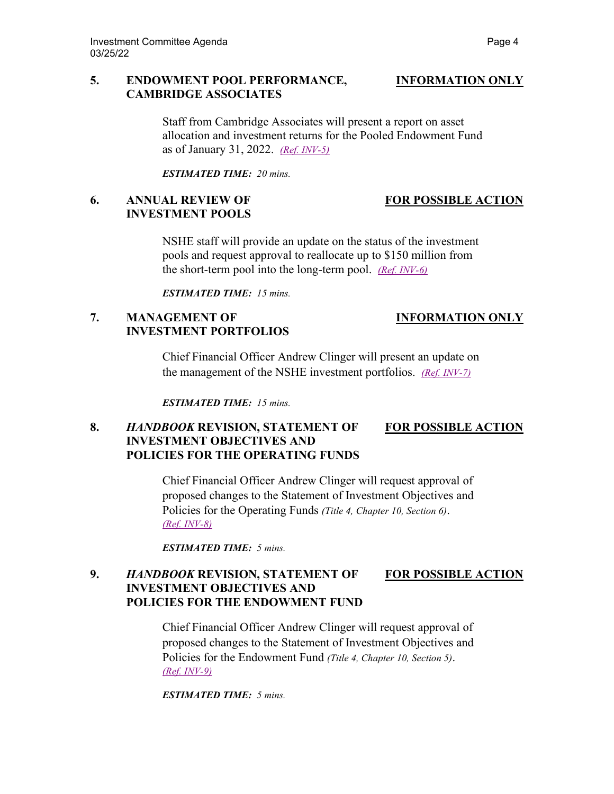### **5. ENDOWMENT POOL PERFORMANCE, INFORMATION ONLY CAMBRIDGE ASSOCIATES**

Staff from Cambridge Associates will present a report on asset allocation and investment returns for the Pooled Endowment Fund as of January 31, 2022. *[\(Ref. INV-5\)](https://nshe.nevada.edu/wp-content/uploads/file/BoardOfRegents/Agendas/2022/03-mar-mtgs/inv-refs/INV-5.pdf)*

*ESTIMATED TIME: 20 mins.* 

## **6. ANNUAL REVIEW OF FOR POSSIBLE ACTION INVESTMENT POOLS**

NSHE staff will provide an update on the status of the investment pools and request approval to reallocate up to \$150 million from the short-term pool into the long-term pool. *[\(Ref. INV-6\)](https://nshe.nevada.edu/wp-content/uploads/file/BoardOfRegents/Agendas/2022/03-mar-mtgs/inv-refs/INV-6.pdf)*

*ESTIMATED TIME: 15 mins.* 

# **7. MANAGEMENT OF INFORMATION ONLY INVESTMENT PORTFOLIOS**

Chief Financial Officer Andrew Clinger will present an update on the management of the NSHE investment portfolios. *[\(Ref. INV-7\)](https://nshe.nevada.edu/wp-content/uploads/file/BoardOfRegents/Agendas/2022/03-mar-mtgs/inv-refs/INV-7.pdf)*

*ESTIMATED TIME: 15 mins.* 

## **8.** *HANDBOOK* **REVISION, STATEMENT OF FOR POSSIBLE ACTION INVESTMENT OBJECTIVES AND POLICIES FOR THE OPERATING FUNDS**

Chief Financial Officer Andrew Clinger will request approval of proposed changes to the Statement of Investment Objectives and Policies for the Operating Funds *(Title 4, Chapter 10, Section 6)*. *[\(Ref. INV-8\)](https://nshe.nevada.edu/wp-content/uploads/file/BoardOfRegents/Agendas/2022/03-mar-mtgs/inv-refs/INV-8.pdf)* 

*ESTIMATED TIME: 5 mins.* 

# **9.** *HANDBOOK* **REVISION, STATEMENT OF FOR POSSIBLE ACTION INVESTMENT OBJECTIVES AND POLICIES FOR THE ENDOWMENT FUND**

Chief Financial Officer Andrew Clinger will request approval of proposed changes to the Statement of Investment Objectives and Policies for the Endowment Fund *(Title 4, Chapter 10, Section 5)*. *[\(Ref. INV-9\)](https://nshe.nevada.edu/wp-content/uploads/file/BoardOfRegents/Agendas/2022/03-mar-mtgs/inv-refs/INV-9.pdf)* 

*ESTIMATED TIME: 5 mins.*